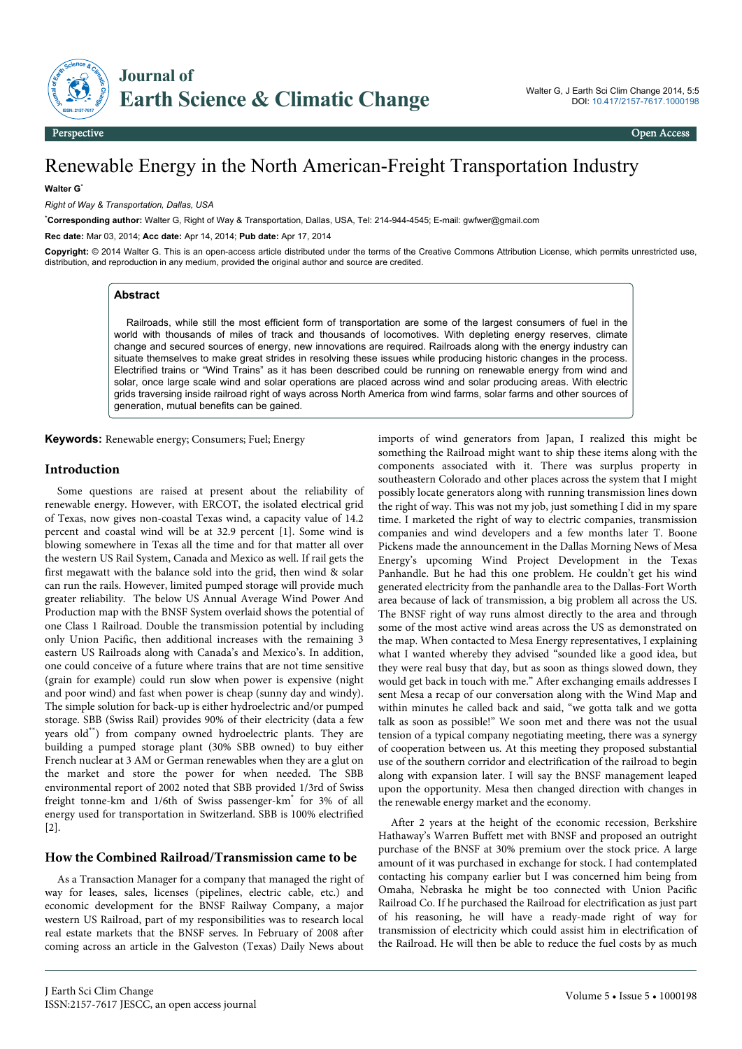

# Renewable Energy in the North American-Freight Transportation Industry

**Walter G**\*

*Right of Way & Transportation, Dallas, USA*

\***Corresponding author:** Walter G, Right of Way & Transportation, Dallas, USA, Tel: 214-944-4545; E-mail: gwfwer@gmail.com

**Rec date:** Mar 03, 2014; **Acc date:** Apr 14, 2014; **Pub date:** Apr 17, 2014

**Copyright:** © 2014 Walter G. This is an open-access article distributed under the terms of the Creative Commons Attribution License, which permits unrestricted use, distribution, and reproduction in any medium, provided the original author and source are credited.

# **Abstract**

Railroads, while still the most efficient form of transportation are some of the largest consumers of fuel in the world with thousands of miles of track and thousands of locomotives. With depleting energy reserves, climate change and secured sources of energy, new innovations are required. Railroads along with the energy industry can situate themselves to make great strides in resolving these issues while producing historic changes in the process. Electrified trains or "Wind Trains" as it has been described could be running on renewable energy from wind and solar, once large scale wind and solar operations are placed across wind and solar producing areas. With electric grids traversing inside railroad right of ways across North America from wind farms, solar farms and other sources of generation, mutual benefits can be gained.

**Keywords:** Renewable energy; Consumers; Fuel; Energy

# **Introduction**

Some questions are raised at present about the reliability of renewable energy. However, with ERCOT, the isolated electrical grid of Texas, now gives non-coastal Texas wind, a capacity value of 14.2 percent and coastal wind will be at 32.9 percent [1]. Some wind is blowing somewhere in Texas all the time and for that matter all over the western US Rail System, Canada and Mexico as well. If rail gets the first megawatt with the balance sold into the grid, then wind & solar can run the rails. However, limited pumped storage will provide much greater reliability. The below US Annual Average Wind Power And Production map with the BNSF System overlaid shows the potential of one Class 1 Railroad. Double the transmission potential by including only Union Pacific, then additional increases with the remaining 3 eastern US Railroads along with Canada's and Mexico's. In addition, one could conceive of a future where trains that are not time sensitive (grain for example) could run slow when power is expensive (night and poor wind) and fast when power is cheap (sunny day and windy). The simple solution for back-up is either hydroelectric and/or pumped storage. SBB (Swiss Rail) provides 90% of their electricity (data a few years old\*\*) from company owned hydroelectric plants. They are building a pumped storage plant (30% SBB owned) to buy either French nuclear at 3 AM or German renewables when they are a glut on the market and store the power for when needed. The SBB environmental report of 2002 noted that SBB provided 1/3rd of Swiss freight tonne-km and 1/6th of Swiss passenger-km\* for 3% of all energy used for transportation in Switzerland. SBB is 100% electrified [2].

#### **How the Combined Railroad/Transmission came to be**

As a Transaction Manager for a company that managed the right of way for leases, sales, licenses (pipelines, electric cable, etc.) and economic development for the BNSF Railway Company, a major western US Railroad, part of my responsibilities was to research local real estate markets that the BNSF serves. In February of 2008 after coming across an article in the Galveston (Texas) Daily News about

imports of wind generators from Japan, I realized this might be something the Railroad might want to ship these items along with the components associated with it. There was surplus property in southeastern Colorado and other places across the system that I might possibly locate generators along with running transmission lines down the right of way. This was not my job, just something I did in my spare time. I marketed the right of way to electric companies, transmission companies and wind developers and a few months later T. Boone Pickens made the announcement in the Dallas Morning News of Mesa Energy's upcoming Wind Project Development in the Texas Panhandle. But he had this one problem. He couldn't get his wind generated electricity from the panhandle area to the Dallas-Fort Worth area because of lack of transmission, a big problem all across the US. The BNSF right of way runs almost directly to the area and through some of the most active wind areas across the US as demonstrated on the map. When contacted to Mesa Energy representatives, I explaining what I wanted whereby they advised "sounded like a good idea, but they were real busy that day, but as soon as things slowed down, they would get back in touch with me." After exchanging emails addresses I sent Mesa a recap of our conversation along with the Wind Map and within minutes he called back and said, "we gotta talk and we gotta talk as soon as possible!" We soon met and there was not the usual tension of a typical company negotiating meeting, there was a synergy of cooperation between us. At this meeting they proposed substantial use of the southern corridor and electrification of the railroad to begin along with expansion later. I will say the BNSF management leaped upon the opportunity. Mesa then changed direction with changes in the renewable energy market and the economy.

After 2 years at the height of the economic recession, Berkshire Hathaway's Warren Buffett met with BNSF and proposed an outright purchase of the BNSF at 30% premium over the stock price. A large amount of it was purchased in exchange for stock. I had contemplated contacting his company earlier but I was concerned him being from Omaha, Nebraska he might be too connected with Union Pacific Railroad Co. If he purchased the Railroad for electrification as just part of his reasoning, he will have a ready-made right of way for transmission of electricity which could assist him in electrification of the Railroad. He will then be able to reduce the fuel costs by as much